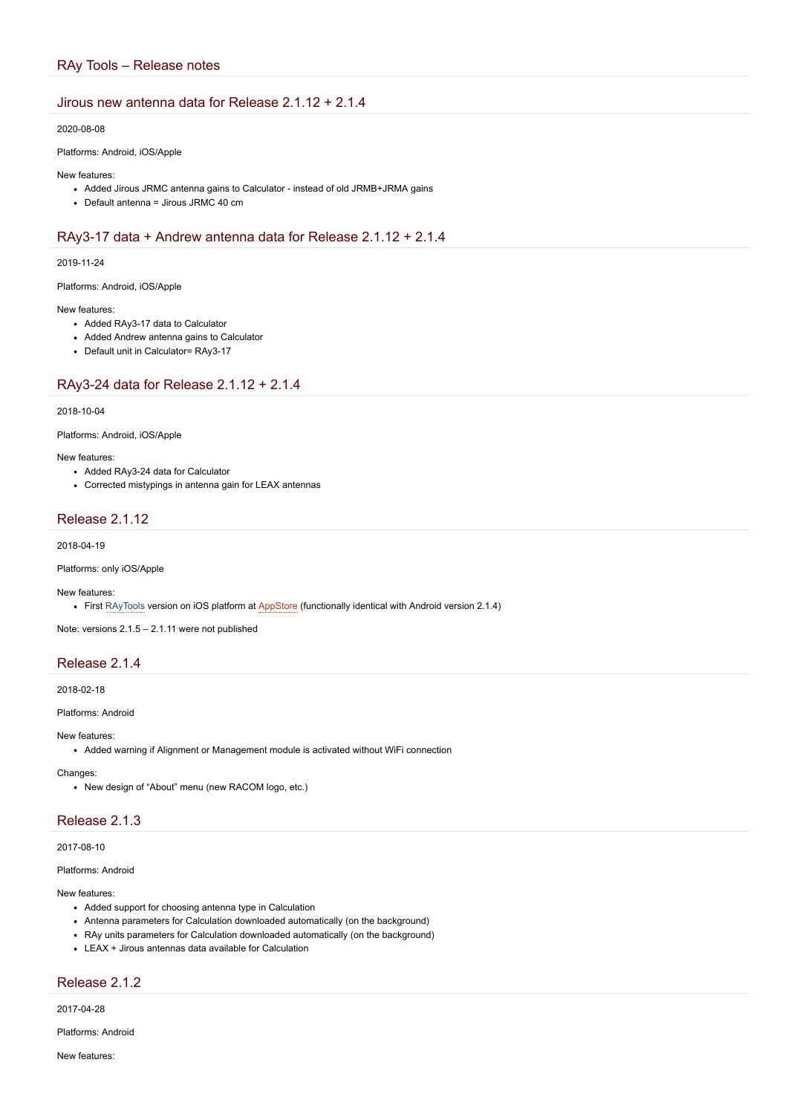## RAy Tools – Release notes

## Jirous new antenna data for Release 2.1.12 + 2.1.4

### 2020-08-08

Platforms: Android, iOS/Apple

#### New features:

- Added Jirous JRMC antenna gains to Calculator instead of old JRMB+JRMA gains
- Default antenna = Jirous JRMC 40 cm

## RAy3-17 data + Andrew antenna data for Release 2.1.12 + 2.1.4

### 2019-11-24

Platforms: Android, iOS/Apple

### New features:

- Added RAy3-17 data to Calculator
- Added Andrew antenna gains to Calculator
- Default unit in Calculator= RAy3-17

## RAy3-24 data for Release 2.1.12 + 2.1.4

### 2018-10-04

Platforms: Android, iOS/Apple

#### New features:

- Added RAy3-24 data for Calculator
- Corrected mistypings in antenna gain for LEAX antennas

## Release 2.1.12

2018-04-19

Platforms: only iOS/Apple

#### New features:

• First [RAyTools](https://wiki.racom.eu/do/view/Halda/RAyTools) version on iOS platform at [AppStore](https://wiki.racom.eu/do/edit/Halda/AppStore?topicparent=Halda.RayToolsFwZmenyB;nowysiwyg=0) (functionally identical with Android version 2.1.4)

Note: versions 2.1.5 – 2.1.11 were not published

## Release 2.1.4

2018-02-18

### Platforms: Android

#### New features:

Added warning if Alignment or Management module is activated without WiFi connection

#### Changes:

• New design of "About" menu (new RACOM logo, etc.)

## Release 2.1.3

### 2017-08-10

### Platforms: Android

#### New features:

- Added support for choosing antenna type in Calculation
- Antenna parameters for Calculation downloaded automatically (on the background)
- RAy units parameters for Calculation downloaded automatically (on the background)
- LEAX + Jirous antennas data available for Calculation

# Release 2.1.2

2017-04-28

Platforms: Android

New features: